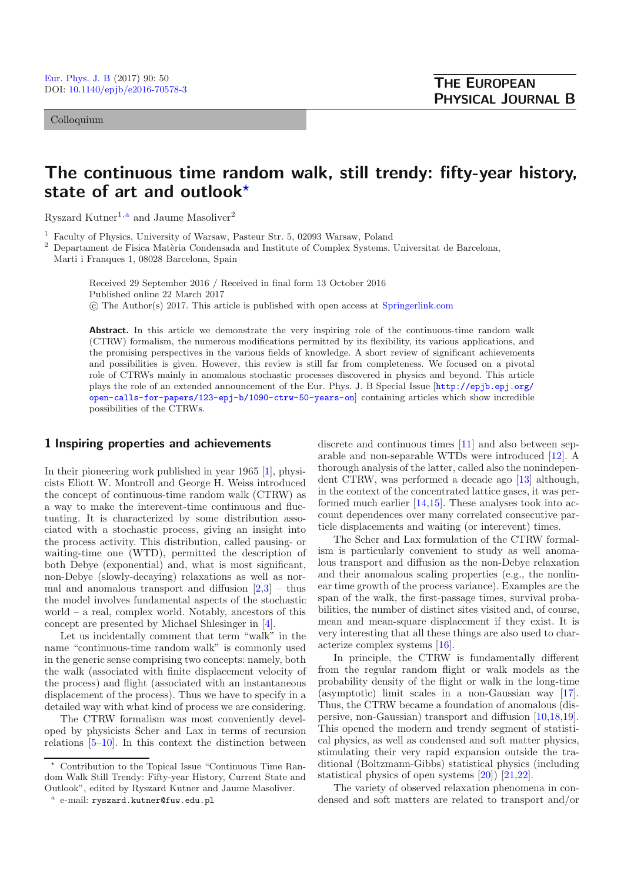Colloquium

# **The continuous time random walk, still trendy: fifty-year history, state of art and outlook***-*

Ryszard Kutner1*,*<sup>a</sup> and Jaume Masoliver<sup>2</sup>

<sup>1</sup> Faculty of Physics, University of Warsaw, Pasteur Str. 5, 02093 Warsaw, Poland

Departament de Fisica Matèria Condensada and Institute of Complex Systems, Universitat de Barcelona,

Marti i Franques 1, 08028 Barcelona, Spain

Received 29 September 2016 / Received in final form 13 October 2016 Published online 22 March 2017 -c The Author(s) 2017. This article is published with open access at [Springerlink.com](http://www.springerlink.com)

Abstract. In this article we demonstrate the very inspiring role of the continuous-time random walk (CTRW) formalism, the numerous modifications permitted by its flexibility, its various applications, and the promising perspectives in the various fields of knowledge. A short review of significant achievements and possibilities is given. However, this review is still far from completeness. We focused on a pivotal role of CTRWs mainly in anomalous stochastic processes discovered in physics and beyond. This article plays the role of an extended announcement of the Eur. Phys. J. B Special Issue [[http://epjb.epj.org/](http://epjb.epj.org/open-calls-for-papers/123-epj-b/1090-ctrw-50-years-on) [open-calls-for-papers/123-epj-b/1090-ctrw-50-years-on](http://epjb.epj.org/open-calls-for-papers/123-epj-b/1090-ctrw-50-years-on)] containing articles which show incredible possibilities of the CTRWs.

## <span id="page-0-0"></span>**1 Inspiring properties and achievements**

In their pioneering work published in year 1965 [\[1\]](#page-8-0), physicists Eliott W. Montroll and George H. Weiss introduced the concept of continuous-time random walk (CTRW) as a way to make the interevent-time continuous and fluctuating. It is characterized by some distribution associated with a stochastic process, giving an insight into the process activity. This distribution, called pausing- or waiting-time one (WTD), permitted the description of both Debye (exponential) and, what is most significant, non-Debye (slowly-decaying) relaxations as well as normal and anomalous transport and diffusion  $[2,3]$  $[2,3]$  – thus the model involves fundamental aspects of the stochastic world – a real, complex world. Notably, ancestors of this concept are presented by Michael Shlesinger in [\[4\]](#page-9-1).

Let us incidentally comment that term "walk" in the name "continuous-time random walk" is commonly used in the generic sense comprising two concepts: namely, both the walk (associated with finite displacement velocity of the process) and flight (associated with an instantaneous displacement of the process). Thus we have to specify in a detailed way with what kind of process we are considering.

The CTRW formalism was most conveniently developed by physicists Scher and Lax in terms of recursion relations [\[5](#page-9-2)[–10\]](#page-9-3). In this context the distinction between

- Contribution to the Topical Issue "Continuous Time Random Walk Still Trendy: Fifty-year History, Current State and Outlook", edited by Ryszard Kutner and Jaume Masoliver.

discrete and continuous times [\[11](#page-9-4)] and also between separable and non-separable WTDs were introduced [\[12](#page-9-5)]. A thorough analysis of the latter, called also the nonindependent CTRW, was performed a decade ago [\[13](#page-9-6)] although, in the context of the concentrated lattice gases, it was performed much earlier [\[14](#page-9-7)[,15\]](#page-9-8). These analyses took into account dependences over many correlated consecutive particle displacements and waiting (or interevent) times.

The Scher and Lax formulation of the CTRW formalism is particularly convenient to study as well anomalous transport and diffusion as the non-Debye relaxation and their anomalous scaling properties (e.g., the nonlinear time growth of the process variance). Examples are the span of the walk, the first-passage times, survival probabilities, the number of distinct sites visited and, of course, mean and mean-square displacement if they exist. It is very interesting that all these things are also used to characterize complex systems [\[16\]](#page-9-9).

In principle, the CTRW is fundamentally different from the regular random flight or walk models as the probability density of the flight or walk in the long-time (asymptotic) limit scales in a non-Gaussian way [\[17](#page-9-10)]. Thus, the CTRW became a foundation of anomalous (dispersive, non-Gaussian) transport and diffusion [\[10](#page-9-3)[,18](#page-9-11)[,19](#page-9-12)]. This opened the modern and trendy segment of statistical physics, as well as condensed and soft matter physics, stimulating their very rapid expansion outside the traditional (Boltzmann-Gibbs) statistical physics (including statistical physics of open systems [\[20](#page-9-13)]) [\[21](#page-9-14)[,22\]](#page-9-15).

The variety of observed relaxation phenomena in condensed and soft matters are related to transport and/or

<sup>a</sup> e-mail: ryszard.kutner@fuw.edu.pl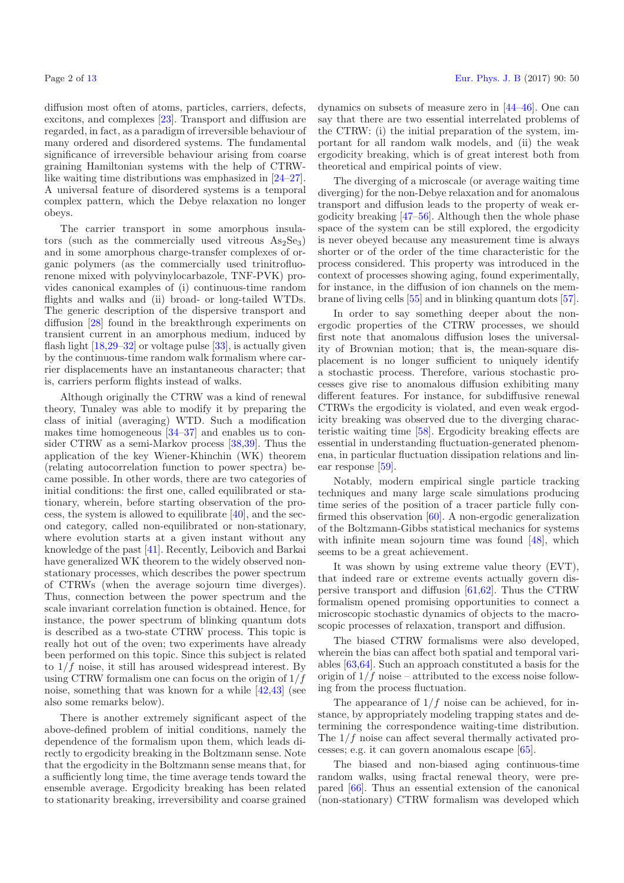diffusion most often of atoms, particles, carriers, defects, excitons, and complexes [\[23\]](#page-9-16). Transport and diffusion are regarded, in fact, as a paradigm of irreversible behaviour of many ordered and disordered systems. The fundamental significance of irreversible behaviour arising from coarse graining Hamiltonian systems with the help of CTRWlike waiting time distributions was emphasized in [\[24](#page-9-17)[–27\]](#page-9-18). A universal feature of disordered systems is a temporal complex pattern, which the Debye relaxation no longer obeys.

The carrier transport in some amorphous insulators (such as the commercially used vitreous  $\text{As}_2\text{Se}_3$ ) and in some amorphous charge-transfer complexes of organic polymers (as the commercially used trinitrofluorenone mixed with polyvinylocarbazole, TNF-PVK) provides canonical examples of (i) continuous-time random flights and walks and (ii) broad- or long-tailed WTDs. The generic description of the dispersive transport and diffusion [\[28](#page-9-19)] found in the breakthrough experiments on transient current in an amorphous medium, induced by flash light [\[18](#page-9-11)[,29](#page-9-20)[–32\]](#page-9-21) or voltage pulse [\[33](#page-9-22)], is actually given by the continuous-time random walk formalism where carrier displacements have an instantaneous character; that is, carriers perform flights instead of walks.

Although originally the CTRW was a kind of renewal theory, Tunaley was able to modify it by preparing the class of initial (averaging) WTD. Such a modification makes time homogeneous [\[34](#page-9-23)[–37\]](#page-9-24) and enables us to consider CTRW as a semi-Markov process [\[38](#page-9-25)[,39](#page-9-26)]. Thus the application of the key Wiener-Khinchin (WK) theorem (relating autocorrelation function to power spectra) became possible. In other words, there are two categories of initial conditions: the first one, called equilibrated or stationary, wherein, before starting observation of the process, the system is allowed to equilibrate  $[40]$ , and the second category, called non-equilibrated or non-stationary, where evolution starts at a given instant without any knowledge of the past [\[41\]](#page-9-28). Recently, Leibovich and Barkai have generalized WK theorem to the widely observed nonstationary processes, which describes the power spectrum of CTRWs (when the average sojourn time diverges). Thus, connection between the power spectrum and the scale invariant correlation function is obtained. Hence, for instance, the power spectrum of blinking quantum dots is described as a two-state CTRW process. This topic is really hot out of the oven; two experiments have already been performed on this topic. Since this subject is related to  $1/f$  noise, it still has aroused widespread interest. By using CTRW formalism one can focus on the origin of 1*/f* noise, something that was known for a while [\[42](#page-9-29)[,43\]](#page-9-30) (see also some remarks below).

There is another extremely significant aspect of the above-defined problem of initial conditions, namely the dependence of the formalism upon them, which leads directly to ergodicity breaking in the Boltzmann sense. Note that the ergodicity in the Boltzmann sense means that, for a sufficiently long time, the time average tends toward the ensemble average. Ergodicity breaking has been related to stationarity breaking, irreversibility and coarse grained

dynamics on subsets of measure zero in [\[44](#page-9-31)[–46\]](#page-9-32). One can say that there are two essential interrelated problems of the CTRW: (i) the initial preparation of the system, important for all random walk models, and (ii) the weak ergodicity breaking, which is of great interest both from theoretical and empirical points of view.

The diverging of a microscale (or average waiting time diverging) for the non-Debye relaxation and for anomalous transport and diffusion leads to the property of weak ergodicity breaking [\[47](#page-9-33)[–56\]](#page-9-34). Although then the whole phase space of the system can be still explored, the ergodicity is never obeyed because any measurement time is always shorter or of the order of the time characteristic for the process considered. This property was introduced in the context of processes showing aging, found experimentally, for instance, in the diffusion of ion channels on the membrane of living cells [\[55\]](#page-9-35) and in blinking quantum dots [\[57](#page-9-36)].

In order to say something deeper about the nonergodic properties of the CTRW processes, we should first note that anomalous diffusion loses the universality of Brownian motion; that is, the mean-square displacement is no longer sufficient to uniquely identify a stochastic process. Therefore, various stochastic processes give rise to anomalous diffusion exhibiting many different features. For instance, for subdiffusive renewal CTRWs the ergodicity is violated, and even weak ergodicity breaking was observed due to the diverging characteristic waiting time [\[58\]](#page-9-37). Ergodicity breaking effects are essential in understanding fluctuation-generated phenomena, in particular fluctuation dissipation relations and linear response [\[59\]](#page-9-38).

Notably, modern empirical single particle tracking techniques and many large scale simulations producing time series of the position of a tracer particle fully confirmed this observation [\[60](#page-9-39)]. A non-ergodic generalization of the Boltzmann-Gibbs statistical mechanics for systems with infinite mean sojourn time was found [\[48\]](#page-9-40), which seems to be a great achievement.

It was shown by using extreme value theory (EVT), that indeed rare or extreme events actually govern dispersive transport and diffusion [\[61](#page-9-41)[,62\]](#page-9-42). Thus the CTRW formalism opened promising opportunities to connect a microscopic stochastic dynamics of objects to the macroscopic processes of relaxation, transport and diffusion.

The biased CTRW formalisms were also developed, wherein the bias can affect both spatial and temporal variables [\[63](#page-9-43)[,64](#page-9-44)]. Such an approach constituted a basis for the origin of  $1/f$  noise – attributed to the excess noise following from the process fluctuation.

The appearance of  $1/f$  noise can be achieved, for instance, by appropriately modeling trapping states and determining the correspondence waiting-time distribution. The 1*/f* noise can affect several thermally activated processes; e.g. it can govern anomalous escape [\[65](#page-9-45)].

The biased and non-biased aging continuous-time random walks, using fractal renewal theory, were prepared [\[66\]](#page-9-46). Thus an essential extension of the canonical (non-stationary) CTRW formalism was developed which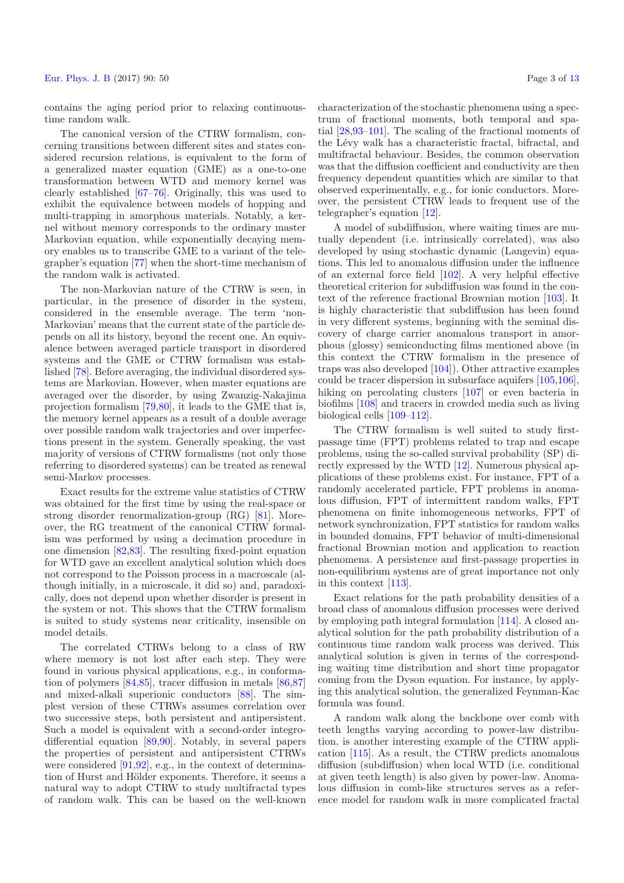contains the aging period prior to relaxing continuoustime random walk.

The canonical version of the CTRW formalism, concerning transitions between different sites and states considered recursion relations, is equivalent to the form of a generalized master equation (GME) as a one-to-one transformation between WTD and memory kernel was clearly established [\[67](#page-9-47)[–76](#page-9-48)]. Originally, this was used to exhibit the equivalence between models of hopping and multi-trapping in amorphous materials. Notably, a kernel without memory corresponds to the ordinary master Markovian equation, while exponentially decaying memory enables us to transcribe GME to a variant of the telegrapher's equation [\[77](#page-9-49)] when the short-time mechanism of the random walk is activated.

The non-Markovian nature of the CTRW is seen, in particular, in the presence of disorder in the system, considered in the ensemble average. The term 'non-Markovian' means that the current state of the particle depends on all its history, beyond the recent one. An equivalence between averaged particle transport in disordered systems and the GME or CTRW formalism was established [\[78\]](#page-9-50). Before averaging, the individual disordered systems are Markovian. However, when master equations are averaged over the disorder, by using Zwanzig-Nakajima projection formalism [\[79](#page-10-0)[,80\]](#page-10-1), it leads to the GME that is, the memory kernel appears as a result of a double average over possible random walk trajectories and over imperfections present in the system. Generally speaking, the vast majority of versions of CTRW formalisms (not only those referring to disordered systems) can be treated as renewal semi-Markov processes.

Exact results for the extreme value statistics of CTRW was obtained for the first time by using the real-space or strong disorder renormalization-group (RG) [\[81\]](#page-10-2). Moreover, the RG treatment of the canonical CTRW formalism was performed by using a decimation procedure in one dimension [\[82](#page-10-3)[,83\]](#page-10-4). The resulting fixed-point equation for WTD gave an excellent analytical solution which does not correspond to the Poisson process in a macroscale (although initially, in a microscale, it did so) and, paradoxically, does not depend upon whether disorder is present in the system or not. This shows that the CTRW formalism is suited to study systems near criticality, insensible on model details.

The correlated CTRWs belong to a class of RW where memory is not lost after each step. They were found in various physical applications, e.g., in conformation of polymers [\[84](#page-10-5)[,85\]](#page-10-6), tracer diffusion in metals [\[86](#page-10-7)[,87](#page-10-8)] and mixed-alkali superionic conductors [\[88](#page-10-9)]. The simplest version of these CTRWs assumes correlation over two successive steps, both persistent and antipersistent. Such a model is equivalent with a second-order integrodifferential equation [\[89](#page-10-10)[,90](#page-10-11)]. Notably, in several papers the properties of persistent and antipersistent CTRWs were considered [\[91](#page-10-12)[,92\]](#page-10-13), e.g., in the context of determination of Hurst and Hölder exponents. Therefore, it seems a natural way to adopt CTRW to study multifractal types of random walk. This can be based on the well-known

characterization of the stochastic phenomena using a spectrum of fractional moments, both temporal and spatial [\[28](#page-9-19)[,93](#page-10-14)[–101\]](#page-10-15). The scaling of the fractional moments of the Lévy walk has a characteristic fractal, bifractal, and multifractal behaviour. Besides, the common observation was that the diffusion coefficient and conductivity are then frequency dependent quantities which are similar to that observed experimentally, e.g., for ionic conductors. Moreover, the persistent CTRW leads to frequent use of the telegrapher's equation [\[12\]](#page-9-5).

A model of subdiffusion, where waiting times are mutually dependent (i.e. intrinsically correlated), was also developed by using stochastic dynamic (Langevin) equations. This led to anomalous diffusion under the influence of an external force field [\[102\]](#page-10-16). A very helpful effective theoretical criterion for subdiffusion was found in the context of the reference fractional Brownian motion [\[103\]](#page-10-17). It is highly characteristic that subdiffusion has been found in very different systems, beginning with the seminal discovery of charge carrier anomalous transport in amorphous (glossy) semiconducting films mentioned above (in this context the CTRW formalism in the presence of traps was also developed [\[104\]](#page-10-18)). Other attractive examples could be tracer dispersion in subsurface aquifers [\[105](#page-10-19)[,106](#page-10-20)], hiking on percolating clusters [\[107](#page-10-21)] or even bacteria in biofilms [\[108\]](#page-10-22) and tracers in crowded media such as living biological cells [\[109](#page-10-23)[–112\]](#page-10-24).

The CTRW formalism is well suited to study firstpassage time (FPT) problems related to trap and escape problems, using the so-called survival probability (SP) directly expressed by the WTD [\[12\]](#page-9-5). Numerous physical applications of these problems exist. For instance, FPT of a randomly accelerated particle, FPT problems in anomalous diffusion, FPT of intermittent random walks, FPT phenomena on finite inhomogeneous networks, FPT of network synchronization, FPT statistics for random walks in bounded domains, FPT behavior of multi-dimensional fractional Brownian motion and application to reaction phenomena. A persistence and first-passage properties in non-equilibrium systems are of great importance not only in this context [\[113\]](#page-10-25).

Exact relations for the path probability densities of a broad class of anomalous diffusion processes were derived by employing path integral formulation [\[114](#page-10-26)]. A closed analytical solution for the path probability distribution of a continuous time random walk process was derived. This analytical solution is given in terms of the corresponding waiting time distribution and short time propagator coming from the Dyson equation. For instance, by applying this analytical solution, the generalized Feynman-Kac formula was found.

A random walk along the backbone over comb with teeth lengths varying according to power-law distribution, is another interesting example of the CTRW application [\[115\]](#page-10-27). As a result, the CTRW predicts anomalous diffusion (subdiffusion) when local WTD (i.e. conditional at given teeth length) is also given by power-law. Anomalous diffusion in comb-like structures serves as a reference model for random walk in more complicated fractal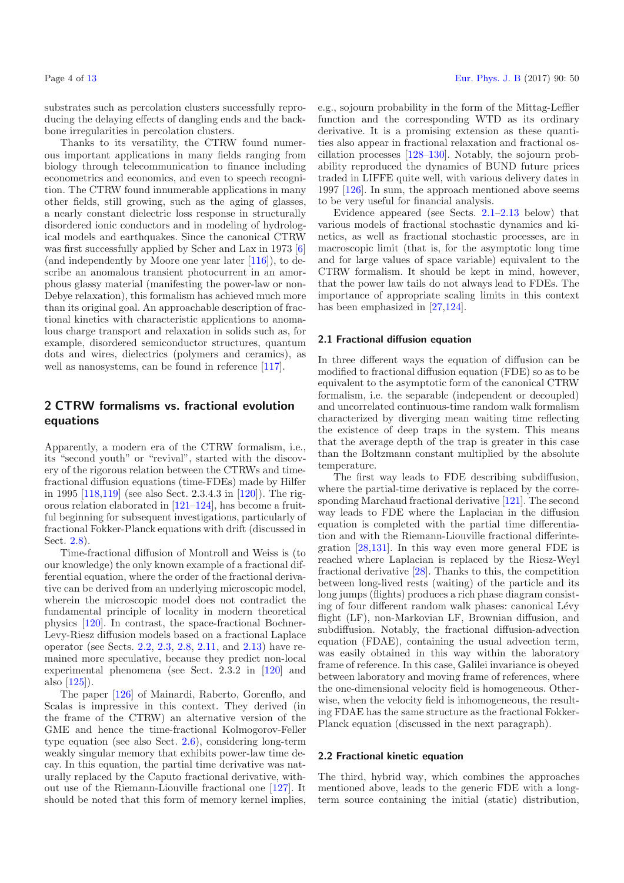substrates such as percolation clusters successfully reproducing the delaying effects of dangling ends and the backbone irregularities in percolation clusters.

Thanks to its versatility, the CTRW found numerous important applications in many fields ranging from biology through telecommunication to finance including econometrics and economics, and even to speech recognition. The CTRW found innumerable applications in many other fields, still growing, such as the aging of glasses, a nearly constant dielectric loss response in structurally disordered ionic conductors and in modeling of hydrological models and earthquakes. Since the canonical CTRW was first successfully applied by Scher and Lax in 1973 [\[6](#page-9-51)] (and independently by Moore one year later [\[116](#page-10-28)]), to describe an anomalous transient photocurrent in an amorphous glassy material (manifesting the power-law or non-Debye relaxation), this formalism has achieved much more than its original goal. An approachable description of fractional kinetics with characteristic applications to anomalous charge transport and relaxation in solids such as, for example, disordered semiconductor structures, quantum dots and wires, dielectrics (polymers and ceramics), as well as nanosystems, can be found in reference [\[117\]](#page-10-29).

# **2 CTRW formalisms vs. fractional evolution equations**

Apparently, a modern era of the CTRW formalism, i.e., its "second youth" or "revival", started with the discovery of the rigorous relation between the CTRWs and timefractional diffusion equations (time-FDEs) made by Hilfer in 1995 [\[118](#page-10-30)[,119\]](#page-10-31) (see also Sect. 2.3.4.3 in [\[120\]](#page-10-32)). The rigorous relation elaborated in [\[121](#page-10-33)[–124\]](#page-10-34), has become a fruitful beginning for subsequent investigations, particularly of fractional Fokker-Planck equations with drift (discussed in Sect. [2.8\)](#page-4-0).

Time-fractional diffusion of Montroll and Weiss is (to our knowledge) the only known example of a fractional differential equation, where the order of the fractional derivative can be derived from an underlying microscopic model, wherein the microscopic model does not contradict the fundamental principle of locality in modern theoretical physics [\[120\]](#page-10-32). In contrast, the space-fractional Bochner-Levy-Riesz diffusion models based on a fractional Laplace operator (see Sects. [2.2,](#page-3-0) [2.3,](#page-4-1) [2.8,](#page-4-0) [2.11,](#page-5-0) and [2.13\)](#page-6-0) have remained more speculative, because they predict non-local experimental phenomena (see Sect. 2.3.2 in [\[120](#page-10-32)] and also [\[125](#page-10-35)]).

The paper [\[126\]](#page-10-36) of Mainardi, Raberto, Gorenflo, and Scalas is impressive in this context. They derived (in the frame of the CTRW) an alternative version of the GME and hence the time-fractional Kolmogorov-Feller type equation (see also Sect. [2.6\)](#page-4-2), considering long-term weakly singular memory that exhibits power-law time decay. In this equation, the partial time derivative was naturally replaced by the Caputo fractional derivative, without use of the Riemann-Liouville fractional one [\[127\]](#page-10-37). It should be noted that this form of memory kernel implies,

e.g., sojourn probability in the form of the Mittag-Leffler function and the corresponding WTD as its ordinary derivative. It is a promising extension as these quantities also appear in fractional relaxation and fractional oscillation processes [\[128](#page-10-38)[–130\]](#page-10-39). Notably, the sojourn probability reproduced the dynamics of BUND future prices traded in LIFFE quite well, with various delivery dates in 1997 [\[126\]](#page-10-36). In sum, the approach mentioned above seems to be very useful for financial analysis.

Evidence appeared (see Sects. [2.1–](#page-3-1)[2.13](#page-6-0) below) that various models of fractional stochastic dynamics and kinetics, as well as fractional stochastic processes, are in macroscopic limit (that is, for the asymptotic long time and for large values of space variable) equivalent to the CTRW formalism. It should be kept in mind, however, that the power law tails do not always lead to FDEs. The importance of appropriate scaling limits in this context has been emphasized in [\[27](#page-9-18)[,124\]](#page-10-34).

#### <span id="page-3-1"></span>**2.1 Fractional diffusion equation**

In three different ways the equation of diffusion can be modified to fractional diffusion equation (FDE) so as to be equivalent to the asymptotic form of the canonical CTRW formalism, i.e. the separable (independent or decoupled) and uncorrelated continuous-time random walk formalism characterized by diverging mean waiting time reflecting the existence of deep traps in the system. This means that the average depth of the trap is greater in this case than the Boltzmann constant multiplied by the absolute temperature.

The first way leads to FDE describing subdiffusion, where the partial-time derivative is replaced by the corresponding Marchaud fractional derivative [\[121\]](#page-10-33). The second way leads to FDE where the Laplacian in the diffusion equation is completed with the partial time differentiation and with the Riemann-Liouville fractional differintegration [\[28](#page-9-19)[,131](#page-10-40)]. In this way even more general FDE is reached where Laplacian is replaced by the Riesz-Weyl fractional derivative [\[28\]](#page-9-19). Thanks to this, the competition between long-lived rests (waiting) of the particle and its long jumps (flights) produces a rich phase diagram consisting of four different random walk phases: canonical Lévy flight (LF), non-Markovian LF, Brownian diffusion, and subdiffusion. Notably, the fractional diffusion-advection equation (FDAE), containing the usual advection term, was easily obtained in this way within the laboratory frame of reference. In this case, Galilei invariance is obeyed between laboratory and moving frame of references, where the one-dimensional velocity field is homogeneous. Otherwise, when the velocity field is inhomogeneous, the resulting FDAE has the same structure as the fractional Fokker-Planck equation (discussed in the next paragraph).

#### <span id="page-3-0"></span>**2.2 Fractional kinetic equation**

The third, hybrid way, which combines the approaches mentioned above, leads to the generic FDE with a longterm source containing the initial (static) distribution,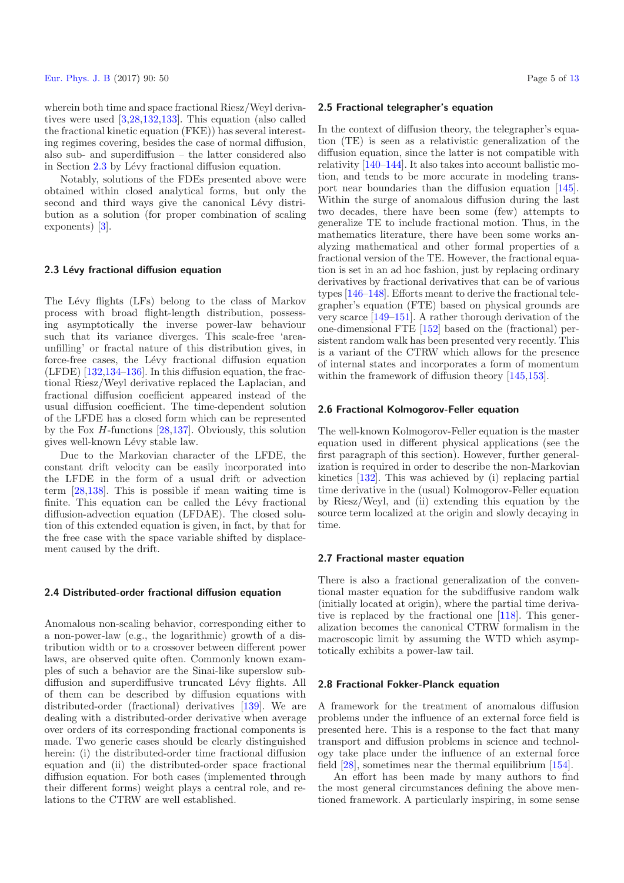wherein both time and space fractional Riesz/Weyl derivatives were used [\[3](#page-9-0)[,28](#page-9-19)[,132](#page-10-41)[,133\]](#page-10-42). This equation (also called the fractional kinetic equation (FKE)) has several interesting regimes covering, besides the case of normal diffusion, also sub- and superdiffusion – the latter considered also in Section  $2.3$  by Lévy fractional diffusion equation.

Notably, solutions of the FDEs presented above were obtained within closed analytical forms, but only the second and third ways give the canonical Lévy distribution as a solution (for proper combination of scaling exponents) [\[3\]](#page-9-0).

### <span id="page-4-1"></span>**2.3 Lévy fractional diffusion equation**

The Lévy flights (LFs) belong to the class of Markov process with broad flight-length distribution, possessing asymptotically the inverse power-law behaviour such that its variance diverges. This scale-free 'areaunfilling' or fractal nature of this distribution gives, in force-free cases, the Lévy fractional diffusion equation (LFDE) [\[132](#page-10-41)[,134](#page-10-43)[–136](#page-10-44)]. In this diffusion equation, the fractional Riesz/Weyl derivative replaced the Laplacian, and fractional diffusion coefficient appeared instead of the usual diffusion coefficient. The time-dependent solution of the LFDE has a closed form which can be represented by the Fox *H*-functions [\[28](#page-9-19)[,137\]](#page-10-45). Obviously, this solution gives well-known Lévy stable law.

Due to the Markovian character of the LFDE, the constant drift velocity can be easily incorporated into the LFDE in the form of a usual drift or advection term [\[28](#page-9-19)[,138\]](#page-10-46). This is possible if mean waiting time is finite. This equation can be called the Lévy fractional diffusion-advection equation (LFDAE). The closed solution of this extended equation is given, in fact, by that for the free case with the space variable shifted by displacement caused by the drift.

#### **2.4 Distributed-order fractional diffusion equation**

Anomalous non-scaling behavior, corresponding either to a non-power-law (e.g., the logarithmic) growth of a distribution width or to a crossover between different power laws, are observed quite often. Commonly known examples of such a behavior are the Sinai-like superslow subdiffusion and superdiffusive truncated Lévy flights. All of them can be described by diffusion equations with distributed-order (fractional) derivatives [\[139](#page-10-47)]. We are dealing with a distributed-order derivative when average over orders of its corresponding fractional components is made. Two generic cases should be clearly distinguished herein: (i) the distributed-order time fractional diffusion equation and (ii) the distributed-order space fractional diffusion equation. For both cases (implemented through their different forms) weight plays a central role, and relations to the CTRW are well established.

#### **2.5 Fractional telegrapher's equation**

In the context of diffusion theory, the telegrapher's equation (TE) is seen as a relativistic generalization of the diffusion equation, since the latter is not compatible with relativity [\[140](#page-10-48)[–144](#page-11-0)]. It also takes into account ballistic motion, and tends to be more accurate in modeling transport near boundaries than the diffusion equation [\[145](#page-11-1)]. Within the surge of anomalous diffusion during the last two decades, there have been some (few) attempts to generalize TE to include fractional motion. Thus, in the mathematics literature, there have been some works analyzing mathematical and other formal properties of a fractional version of the TE. However, the fractional equation is set in an ad hoc fashion, just by replacing ordinary derivatives by fractional derivatives that can be of various types [\[146](#page-11-2)[–148](#page-11-3)]. Efforts meant to derive the fractional telegrapher's equation (FTE) based on physical grounds are very scarce [\[149](#page-11-4)[–151\]](#page-11-5). A rather thorough derivation of the one-dimensional FTE [\[152\]](#page-11-6) based on the (fractional) persistent random walk has been presented very recently. This is a variant of the CTRW which allows for the presence of internal states and incorporates a form of momentum within the framework of diffusion theory [\[145](#page-11-1)[,153\]](#page-11-7).

### <span id="page-4-2"></span>**2.6 Fractional Kolmogorov-Feller equation**

The well-known Kolmogorov-Feller equation is the master equation used in different physical applications (see the first paragraph of this section). However, further generalization is required in order to describe the non-Markovian kinetics [\[132\]](#page-10-41). This was achieved by (i) replacing partial time derivative in the (usual) Kolmogorov-Feller equation by Riesz/Weyl, and (ii) extending this equation by the source term localized at the origin and slowly decaying in time.

### **2.7 Fractional master equation**

There is also a fractional generalization of the conventional master equation for the subdiffusive random walk (initially located at origin), where the partial time derivative is replaced by the fractional one [\[118](#page-10-30)]. This generalization becomes the canonical CTRW formalism in the macroscopic limit by assuming the WTD which asymptotically exhibits a power-law tail.

#### <span id="page-4-0"></span>**2.8 Fractional Fokker-Planck equation**

A framework for the treatment of anomalous diffusion problems under the influence of an external force field is presented here. This is a response to the fact that many transport and diffusion problems in science and technology take place under the influence of an external force field [\[28\]](#page-9-19), sometimes near the thermal equilibrium [\[154\]](#page-11-8).

An effort has been made by many authors to find the most general circumstances defining the above mentioned framework. A particularly inspiring, in some sense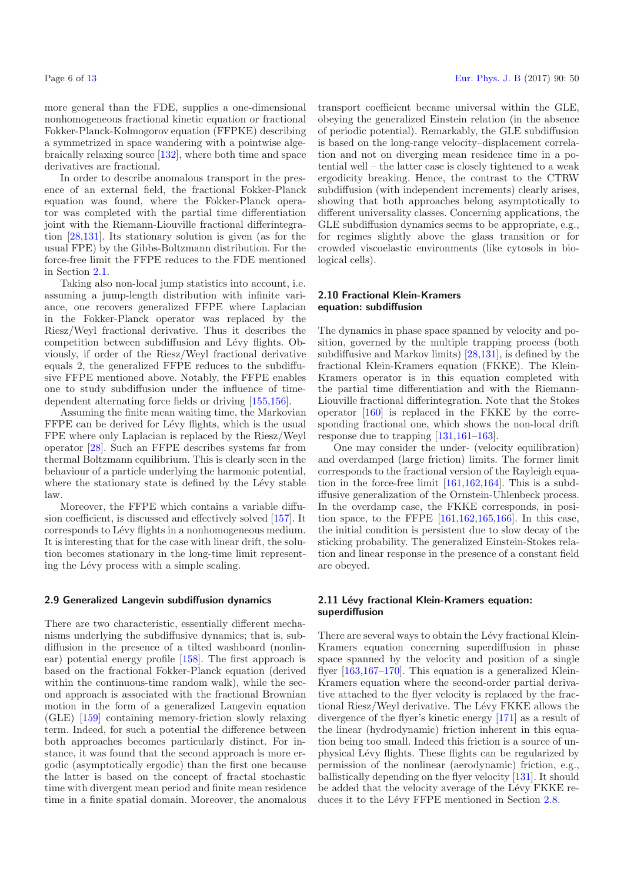more general than the FDE, supplies a one-dimensional nonhomogeneous fractional kinetic equation or fractional Fokker-Planck-Kolmogorov equation (FFPKE) describing a symmetrized in space wandering with a pointwise algebraically relaxing source [\[132\]](#page-10-41), where both time and space derivatives are fractional.

In order to describe anomalous transport in the presence of an external field, the fractional Fokker-Planck equation was found, where the Fokker-Planck operator was completed with the partial time differentiation joint with the Riemann-Liouville fractional differintegration [\[28](#page-9-19)[,131\]](#page-10-40). Its stationary solution is given (as for the usual FPE) by the Gibbs-Boltzmann distribution. For the force-free limit the FFPE reduces to the FDE mentioned in Section [2.1.](#page-3-1)

Taking also non-local jump statistics into account, i.e. assuming a jump-length distribution with infinite variance, one recovers generalized FFPE where Laplacian in the Fokker-Planck operator was replaced by the Riesz/Weyl fractional derivative. Thus it describes the competition between subdiffusion and Lévy flights. Obviously, if order of the Riesz/Weyl fractional derivative equals 2, the generalized FFPE reduces to the subdiffusive FFPE mentioned above. Notably, the FFPE enables one to study subdiffusion under the influence of timedependent alternating force fields or driving [\[155](#page-11-9)[,156\]](#page-11-10).

Assuming the finite mean waiting time, the Markovian FFPE can be derived for Lévy flights, which is the usual FPE where only Laplacian is replaced by the Riesz/Weyl operator [\[28](#page-9-19)]. Such an FFPE describes systems far from thermal Boltzmann equilibrium. This is clearly seen in the behaviour of a particle underlying the harmonic potential, where the stationary state is defined by the Lévy stable law.

Moreover, the FFPE which contains a variable diffusion coefficient, is discussed and effectively solved [\[157](#page-11-11)]. It corresponds to Lévy flights in a nonhomogeneous medium. It is interesting that for the case with linear drift, the solution becomes stationary in the long-time limit representing the Lévy process with a simple scaling.

#### **2.9 Generalized Langevin subdiffusion dynamics**

There are two characteristic, essentially different mechanisms underlying the subdiffusive dynamics; that is, subdiffusion in the presence of a tilted washboard (nonlinear) potential energy profile [\[158\]](#page-11-12). The first approach is based on the fractional Fokker-Planck equation (derived within the continuous-time random walk), while the second approach is associated with the fractional Brownian motion in the form of a generalized Langevin equation (GLE) [\[159\]](#page-11-13) containing memory-friction slowly relaxing term. Indeed, for such a potential the difference between both approaches becomes particularly distinct. For instance, it was found that the second approach is more ergodic (asymptotically ergodic) than the first one because the latter is based on the concept of fractal stochastic time with divergent mean period and finite mean residence time in a finite spatial domain. Moreover, the anomalous

transport coefficient became universal within the GLE, obeying the generalized Einstein relation (in the absence of periodic potential). Remarkably, the GLE subdiffusion is based on the long-range velocity–displacement correlation and not on diverging mean residence time in a potential well – the latter case is closely tightened to a weak ergodicity breaking. Hence, the contrast to the CTRW subdiffusion (with independent increments) clearly arises, showing that both approaches belong asymptotically to different universality classes. Concerning applications, the GLE subdiffusion dynamics seems to be appropriate, e.g., for regimes slightly above the glass transition or for crowded viscoelastic environments (like cytosols in biological cells).

## **2.10 Fractional Klein-Kramers equation: subdiffusion**

The dynamics in phase space spanned by velocity and position, governed by the multiple trapping process (both subdiffusive and Markov limits) [\[28](#page-9-19)[,131\]](#page-10-40), is defined by the fractional Klein-Kramers equation (FKKE). The Klein-Kramers operator is in this equation completed with the partial time differentiation and with the Riemann-Liouville fractional differintegration. Note that the Stokes operator [\[160](#page-11-14)] is replaced in the FKKE by the corresponding fractional one, which shows the non-local drift response due to trapping [\[131](#page-10-40)[,161–](#page-11-15)[163\]](#page-11-16).

One may consider the under- (velocity equilibration) and overdamped (large friction) limits. The former limit corresponds to the fractional version of the Rayleigh equation in the force-free limit [\[161](#page-11-15)[,162](#page-11-17)[,164](#page-11-18)]. This is a subdiffusive generalization of the Ornstein-Uhlenbeck process. In the overdamp case, the FKKE corresponds, in position space, to the FFPE  $[161, 162, 165, 166]$  $[161, 162, 165, 166]$ . In this case, the initial condition is persistent due to slow decay of the sticking probability. The generalized Einstein-Stokes relation and linear response in the presence of a constant field are obeyed.

## <span id="page-5-0"></span>2.11 Lévy fractional Klein-Kramers equation: **superdiffusion**

There are several ways to obtain the Lévy fractional Klein-Kramers equation concerning superdiffusion in phase space spanned by the velocity and position of a single flyer [\[163](#page-11-16)[,167](#page-11-21)[–170](#page-11-22)]. This equation is a generalized Klein-Kramers equation where the second-order partial derivative attached to the flyer velocity is replaced by the fractional Riesz/Weyl derivative. The Lévy FKKE allows the divergence of the flyer's kinetic energy [\[171\]](#page-11-23) as a result of the linear (hydrodynamic) friction inherent in this equation being too small. Indeed this friction is a source of unphysical Lévy flights. These flights can be regularized by permission of the nonlinear (aerodynamic) friction, e.g., ballistically depending on the flyer velocity [\[131\]](#page-10-40). It should be added that the velocity average of the Lévy FKKE re-duces it to the Lévy FFPE mentioned in Section [2.8.](#page-4-0)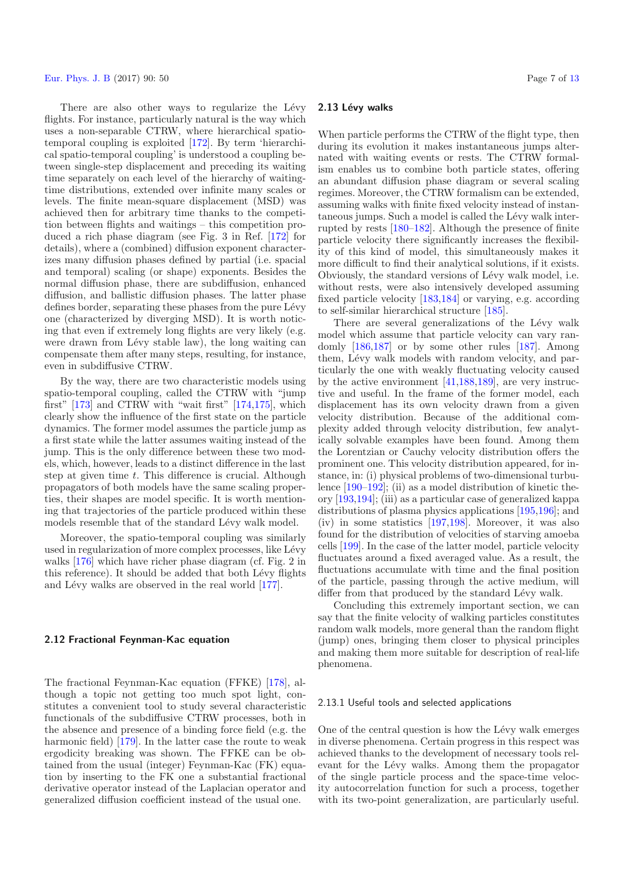There are also other ways to regularize the Lévy flights. For instance, particularly natural is the way which uses a non-separable CTRW, where hierarchical spatiotemporal coupling is exploited [\[172\]](#page-11-24). By term 'hierarchical spatio-temporal coupling' is understood a coupling between single-step displacement and preceding its waiting time separately on each level of the hierarchy of waitingtime distributions, extended over infinite many scales or levels. The finite mean-square displacement (MSD) was achieved then for arbitrary time thanks to the competition between flights and waitings – this competition produced a rich phase diagram (see Fig. 3 in Ref. [\[172](#page-11-24)] for details), where a (combined) diffusion exponent characterizes many diffusion phases defined by partial (i.e. spacial and temporal) scaling (or shape) exponents. Besides the normal diffusion phase, there are subdiffusion, enhanced diffusion, and ballistic diffusion phases. The latter phase defines border, separating these phases from the pure Lévy one (characterized by diverging MSD). It is worth noticing that even if extremely long flights are very likely (e.g. were drawn from Lévy stable law), the long waiting can compensate them after many steps, resulting, for instance, even in subdiffusive CTRW.

By the way, there are two characteristic models using spatio-temporal coupling, called the CTRW with "jump first" [\[173](#page-11-25)] and CTRW with "wait first" [\[174](#page-11-26)[,175\]](#page-11-27), which clearly show the influence of the first state on the particle dynamics. The former model assumes the particle jump as a first state while the latter assumes waiting instead of the jump. This is the only difference between these two models, which, however, leads to a distinct difference in the last step at given time *t*. This difference is crucial. Although propagators of both models have the same scaling properties, their shapes are model specific. It is worth mentioning that trajectories of the particle produced within these models resemble that of the standard Lévy walk model.

Moreover, the spatio-temporal coupling was similarly used in regularization of more complex processes, like Lévy walks [\[176](#page-11-28)] which have richer phase diagram (cf. Fig. 2 in this reference). It should be added that both Lévy flights and Lévy walks are observed in the real world [\[177\]](#page-11-29).

### **2.12 Fractional Feynman-Kac equation**

The fractional Feynman-Kac equation (FFKE) [\[178\]](#page-11-30), although a topic not getting too much spot light, constitutes a convenient tool to study several characteristic functionals of the subdiffusive CTRW processes, both in the absence and presence of a binding force field (e.g. the harmonic field) [\[179](#page-11-31)]. In the latter case the route to weak ergodicity breaking was shown. The FFKE can be obtained from the usual (integer) Feynman-Kac (FK) equation by inserting to the FK one a substantial fractional derivative operator instead of the Laplacian operator and generalized diffusion coefficient instead of the usual one.

### <span id="page-6-0"></span>2.13 Lévy walks

When particle performs the CTRW of the flight type, then during its evolution it makes instantaneous jumps alternated with waiting events or rests. The CTRW formalism enables us to combine both particle states, offering an abundant diffusion phase diagram or several scaling regimes. Moreover, the CTRW formalism can be extended, assuming walks with finite fixed velocity instead of instantaneous jumps. Such a model is called the Lévy walk interrupted by rests [\[180](#page-11-32)[–182\]](#page-11-33). Although the presence of finite particle velocity there significantly increases the flexibility of this kind of model, this simultaneously makes it more difficult to find their analytical solutions, if it exists. Obviously, the standard versions of Lévy walk model, i.e. without rests, were also intensively developed assuming fixed particle velocity [\[183](#page-11-34)[,184\]](#page-11-35) or varying, e.g. according to self-similar hierarchical structure [\[185\]](#page-11-36).

There are several generalizations of the Lévy walk model which assume that particle velocity can vary randomly [\[186](#page-11-37)[,187](#page-11-38)] or by some other rules [\[187](#page-11-38)]. Among them, Lévy walk models with random velocity, and particularly the one with weakly fluctuating velocity caused by the active environment [\[41](#page-9-28)[,188](#page-11-39)[,189\]](#page-11-40), are very instructive and useful. In the frame of the former model, each displacement has its own velocity drawn from a given velocity distribution. Because of the additional complexity added through velocity distribution, few analytically solvable examples have been found. Among them the Lorentzian or Cauchy velocity distribution offers the prominent one. This velocity distribution appeared, for instance, in: (i) physical problems of two-dimensional turbulence [\[190–](#page-11-41)[192\]](#page-11-42); (ii) as a model distribution of kinetic theory [\[193](#page-11-43)[,194](#page-11-44)]; (iii) as a particular case of generalized kappa distributions of plasma physics applications [\[195](#page-11-45)[,196\]](#page-11-46); and (iv) in some statistics [\[197](#page-11-47)[,198\]](#page-11-48). Moreover, it was also found for the distribution of velocities of starving amoeba cells [\[199](#page-11-49)]. In the case of the latter model, particle velocity fluctuates around a fixed averaged value. As a result, the fluctuations accumulate with time and the final position of the particle, passing through the active medium, will differ from that produced by the standard Lévy walk.

Concluding this extremely important section, we can say that the finite velocity of walking particles constitutes random walk models, more general than the random flight (jump) ones, bringing them closer to physical principles and making them more suitable for description of real-life phenomena.

#### 2.13.1 Useful tools and selected applications

One of the central question is how the Lévy walk emerges in diverse phenomena. Certain progress in this respect was achieved thanks to the development of necessary tools relevant for the Lévy walks. Among them the propagator of the single particle process and the space-time velocity autocorrelation function for such a process, together with its two-point generalization, are particularly useful.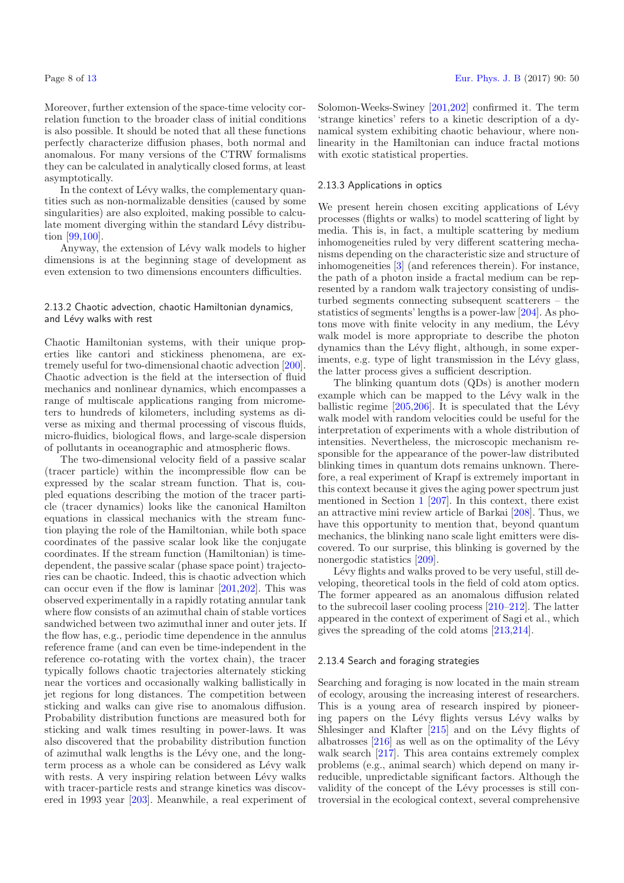Moreover, further extension of the space-time velocity correlation function to the broader class of initial conditions is also possible. It should be noted that all these functions perfectly characterize diffusion phases, both normal and anomalous. For many versions of the CTRW formalisms they can be calculated in analytically closed forms, at least asymptotically.

In the context of Lévy walks, the complementary quantities such as non-normalizable densities (caused by some singularities) are also exploited, making possible to calculate moment diverging within the standard Lévy distribution [\[99](#page-10-49)[,100\]](#page-10-50).

Anyway, the extension of Lévy walk models to higher dimensions is at the beginning stage of development as even extension to two dimensions encounters difficulties.

## 2.13.2 Chaotic advection, chaotic Hamiltonian dynamics, and Lévy walks with rest

Chaotic Hamiltonian systems, with their unique properties like cantori and stickiness phenomena, are extremely useful for two-dimensional chaotic advection [\[200\]](#page-11-50). Chaotic advection is the field at the intersection of fluid mechanics and nonlinear dynamics, which encompasses a range of multiscale applications ranging from micrometers to hundreds of kilometers, including systems as diverse as mixing and thermal processing of viscous fluids, micro-fluidics, biological flows, and large-scale dispersion of pollutants in oceanographic and atmospheric flows.

The two-dimensional velocity field of a passive scalar (tracer particle) within the incompressible flow can be expressed by the scalar stream function. That is, coupled equations describing the motion of the tracer particle (tracer dynamics) looks like the canonical Hamilton equations in classical mechanics with the stream function playing the role of the Hamiltonian, while both space coordinates of the passive scalar look like the conjugate coordinates. If the stream function (Hamiltonian) is timedependent, the passive scalar (phase space point) trajectories can be chaotic. Indeed, this is chaotic advection which can occur even if the flow is laminar [\[201](#page-11-51)[,202\]](#page-11-52). This was observed experimentally in a rapidly rotating annular tank where flow consists of an azimuthal chain of stable vortices sandwiched between two azimuthal inner and outer jets. If the flow has, e.g., periodic time dependence in the annulus reference frame (and can even be time-independent in the reference co-rotating with the vortex chain), the tracer typically follows chaotic trajectories alternately sticking near the vortices and occasionally walking ballistically in jet regions for long distances. The competition between sticking and walks can give rise to anomalous diffusion. Probability distribution functions are measured both for sticking and walk times resulting in power-laws. It was also discovered that the probability distribution function of azimuthal walk lengths is the Lévy one, and the longterm process as a whole can be considered as Lévy walk with rests. A very inspiring relation between Lévy walks with tracer-particle rests and strange kinetics was discovered in 1993 year [\[203\]](#page-11-53). Meanwhile, a real experiment of

Solomon-Weeks-Swiney [\[201](#page-11-51)[,202\]](#page-11-52) confirmed it. The term 'strange kinetics' refers to a kinetic description of a dynamical system exhibiting chaotic behaviour, where nonlinearity in the Hamiltonian can induce fractal motions with exotic statistical properties.

### 2.13.3 Applications in optics

We present herein chosen exciting applications of Lévy processes (flights or walks) to model scattering of light by media. This is, in fact, a multiple scattering by medium inhomogeneities ruled by very different scattering mechanisms depending on the characteristic size and structure of inhomogeneities [\[3](#page-9-0)] (and references therein). For instance, the path of a photon inside a fractal medium can be represented by a random walk trajectory consisting of undisturbed segments connecting subsequent scatterers – the statistics of segments' lengths is a power-law [\[204\]](#page-11-54). As photons move with finite velocity in any medium, the Lévy walk model is more appropriate to describe the photon dynamics than the Lévy flight, although, in some experiments, e.g. type of light transmission in the Lévy glass, the latter process gives a sufficient description.

The blinking quantum dots (QDs) is another modern example which can be mapped to the Lévy walk in the ballistic regime  $[205,206]$  $[205,206]$ . It is speculated that the Lévy walk model with random velocities could be useful for the interpretation of experiments with a whole distribution of intensities. Nevertheless, the microscopic mechanism responsible for the appearance of the power-law distributed blinking times in quantum dots remains unknown. Therefore, a real experiment of Krapf is extremely important in this context because it gives the aging power spectrum just mentioned in Section [1](#page-0-0) [\[207](#page-11-57)]. In this context, there exist an attractive mini review article of Barkai [\[208](#page-11-58)]. Thus, we have this opportunity to mention that, beyond quantum mechanics, the blinking nano scale light emitters were discovered. To our surprise, this blinking is governed by the nonergodic statistics [\[209\]](#page-11-59).

Lévy flights and walks proved to be very useful, still developing, theoretical tools in the field of cold atom optics. The former appeared as an anomalous diffusion related to the subrecoil laser cooling process [\[210](#page-11-60)[–212\]](#page-12-1). The latter appeared in the context of experiment of Sagi et al., which gives the spreading of the cold atoms [\[213](#page-12-2)[,214](#page-12-3)].

#### 2.13.4 Search and foraging strategies

Searching and foraging is now located in the main stream of ecology, arousing the increasing interest of researchers. This is a young area of research inspired by pioneering papers on the Lévy flights versus Lévy walks by Shlesinger and Klafter  $[215]$  and on the Lévy flights of albatrosses  $[216]$  as well as on the optimality of the Lévy walk search [\[217\]](#page-12-6). This area contains extremely complex problems (e.g., animal search) which depend on many irreducible, unpredictable significant factors. Although the validity of the concept of the Lévy processes is still controversial in the ecological context, several comprehensive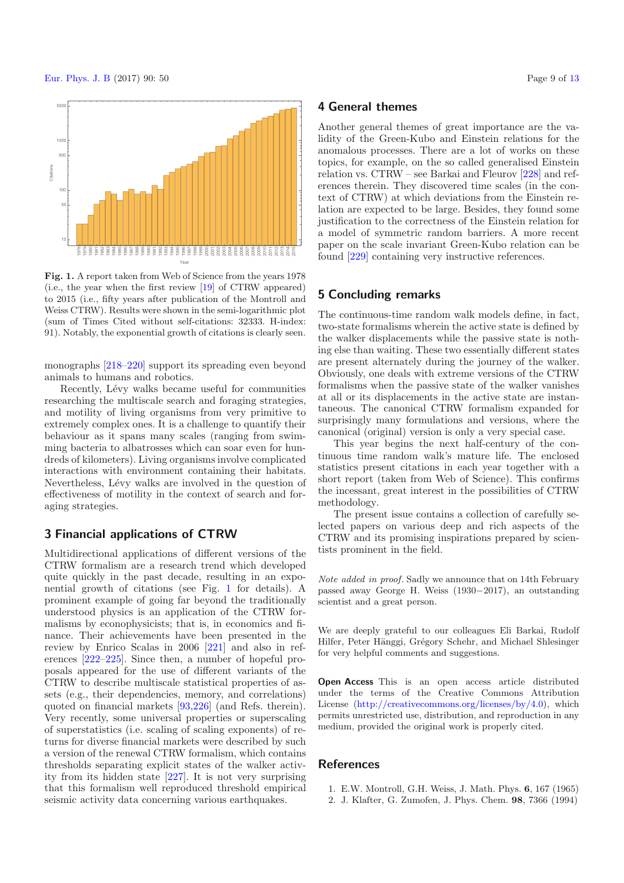<span id="page-8-2"></span>

**Fig. 1.** A report taken from Web of Science from the years 1978 (i.e., the year when the first review [\[19](#page-9-12)] of CTRW appeared) to 2015 (i.e., fifty years after publication of the Montroll and Weiss CTRW). Results were shown in the semi-logarithmic plot (sum of Times Cited without self-citations: 32333. H-index: 91). Notably, the exponential growth of citations is clearly seen.

monographs [\[218](#page-12-7)[–220](#page-12-8)] support its spreading even beyond animals to humans and robotics.

Recently, Lévy walks became useful for communities researching the multiscale search and foraging strategies, and motility of living organisms from very primitive to extremely complex ones. It is a challenge to quantify their behaviour as it spans many scales (ranging from swimming bacteria to albatrosses which can soar even for hundreds of kilometers). Living organisms involve complicated interactions with environment containing their habitats. Nevertheless, Lévy walks are involved in the question of effectiveness of motility in the context of search and foraging strategies.

## **3 Financial applications of CTRW**

Multidirectional applications of different versions of the CTRW formalism are a research trend which developed quite quickly in the past decade, resulting in an exponential growth of citations (see Fig. [1](#page-8-2) for details). A prominent example of going far beyond the traditionally understood physics is an application of the CTRW formalisms by econophysicists; that is, in economics and finance. Their achievements have been presented in the review by Enrico Scalas in 2006 [\[221\]](#page-12-9) and also in references [\[222](#page-12-10)[–225\]](#page-12-11). Since then, a number of hopeful proposals appeared for the use of different variants of the CTRW to describe multiscale statistical properties of assets (e.g., their dependencies, memory, and correlations) quoted on financial markets [\[93](#page-10-14)[,226](#page-12-12)] (and Refs. therein). Very recently, some universal properties or superscaling of superstatistics (i.e. scaling of scaling exponents) of returns for diverse financial markets were described by such a version of the renewal CTRW formalism, which contains thresholds separating explicit states of the walker activity from its hidden state [\[227\]](#page-12-13). It is not very surprising that this formalism well reproduced threshold empirical seismic activity data concerning various earthquakes.

## **4 General themes**

Another general themes of great importance are the validity of the Green-Kubo and Einstein relations for the anomalous processes. There are a lot of works on these topics, for example, on the so called generalised Einstein relation vs. CTRW – see Barkai and Fleurov [\[228\]](#page-12-14) and references therein. They discovered time scales (in the context of CTRW) at which deviations from the Einstein relation are expected to be large. Besides, they found some justification to the correctness of the Einstein relation for a model of symmetric random barriers. A more recent paper on the scale invariant Green-Kubo relation can be found [\[229\]](#page-12-15) containing very instructive references.

# **5 Concluding remarks**

The continuous-time random walk models define, in fact, two-state formalisms wherein the active state is defined by the walker displacements while the passive state is nothing else than waiting. These two essentially different states are present alternately during the journey of the walker. Obviously, one deals with extreme versions of the CTRW formalisms when the passive state of the walker vanishes at all or its displacements in the active state are instantaneous. The canonical CTRW formalism expanded for surprisingly many formulations and versions, where the canonical (original) version is only a very special case.

This year begins the next half-century of the continuous time random walk's mature life. The enclosed statistics present citations in each year together with a short report (taken from Web of Science). This confirms the incessant, great interest in the possibilities of CTRW methodology.

The present issue contains a collection of carefully selected papers on various deep and rich aspects of the CTRW and its promising inspirations prepared by scientists prominent in the field.

Note added in proof. Sadly we announce that on 14th February passed away George H. Weiss (1930−2017), an outstanding scientist and a great person.

We are deeply grateful to our colleagues Eli Barkai, Rudolf Hilfer, Peter Hänggi, Grégory Schehr, and Michael Shlesinger for very helpful comments and suggestions.

**Open Access** This is an open access article distributed under the terms of the Creative Commons Attribution License [\(http://creativecommons.org/licenses/by/4.0\)](http://creativecommons.org/licenses/by/4.0), which permits unrestricted use, distribution, and reproduction in any medium, provided the original work is properly cited.

## <span id="page-8-1"></span><span id="page-8-0"></span>**References**

- 1. E.W. Montroll, G.H. Weiss, J. Math. Phys. **6**, 167 (1965)
- 2. J. Klafter, G. Zumofen, J. Phys. Chem. **98**, 7366 (1994)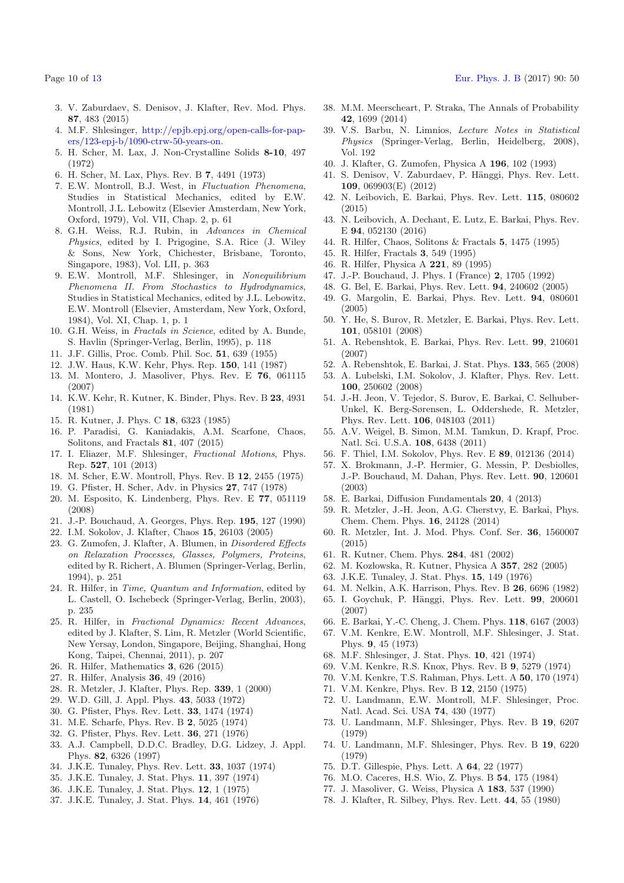<span id="page-9-0"></span>

- 3. V. Zaburdaev, S. Denisov, J. Klafter, Rev. Mod. Phys. **87**, 483 (2015)
- <span id="page-9-1"></span>4. M.F. Shlesinger, http://epjb.epj.org/open-calls-for-pap $ers/123-epj-b/1090-ctrw-50-years-on.$
- <span id="page-9-2"></span>5. H. Scher, M. Lax, J. Non-Crystalline Solids **8-10**, 497 (1972)
- <span id="page-9-51"></span>6. H. Scher, M. Lax, Phys. Rev. B **7**, 4491 (1973)
- 7. E.W. Montroll, B.J. West, in Fluctuation Phenomena, Studies in Statistical Mechanics, edited by E.W. Montroll, J.L. Lebowitz (Elsevier Amsterdam, New York, Oxford, 1979), Vol. VII, Chap. 2, p. 61
- 8. G.H. Weiss, R.J. Rubin, in Advances in Chemical Physics, edited by I. Prigogine, S.A. Rice (J. Wiley & Sons, New York, Chichester, Brisbane, Toronto, Singapore, 1983), Vol. LII, p. 363
- 9. E.W. Montroll, M.F. Shlesinger, in Nonequilibrium Phenomena II. From Stochastics to Hydrodynamics, Studies in Statistical Mechanics, edited by J.L. Lebowitz, E.W. Montroll (Elsevier, Amsterdam, New York, Oxford, 1984), Vol. XI, Chap. 1, p. 1
- <span id="page-9-3"></span>10. G.H. Weiss, in Fractals in Science, edited by A. Bunde, S. Havlin (Springer-Verlag, Berlin, 1995), p. 118
- <span id="page-9-4"></span>11. J.F. Gillis, Proc. Comb. Phil. Soc. **51**, 639 (1955)
- <span id="page-9-5"></span>12. J.W. Haus, K.W. Kehr, Phys. Rep. **150**, 141 (1987)
- <span id="page-9-6"></span>13. M. Montero, J. Masoliver, Phys. Rev. E **76**, 061115 (2007)
- <span id="page-9-7"></span>14. K.W. Kehr, R. Kutner, K. Binder, Phys. Rev. B **23**, 4931 (1981)
- <span id="page-9-8"></span>15. R. Kutner, J. Phys. C **18**, 6323 (1985)
- <span id="page-9-9"></span>16. P. Paradisi, G. Kaniadakis, A.M. Scarfone, Chaos, Solitons, and Fractals **81**, 407 (2015)
- <span id="page-9-10"></span>17. I. Eliazer, M.F. Shlesinger, Fractional Motions, Phys. Rep. **527**, 101 (2013)
- <span id="page-9-11"></span>18. M. Scher, E.W. Montroll, Phys. Rev. B **12**, 2455 (1975)
- <span id="page-9-12"></span>19. G. Pfister, H. Scher, Adv. in Physics **27**, 747 (1978)
- <span id="page-9-13"></span>20. M. Esposito, K. Lindenberg, Phys. Rev. E **77**, 051119 (2008)
- <span id="page-9-14"></span>21. J.-P. Bouchaud, A. Georges, Phys. Rep. **195**, 127 (1990)
- <span id="page-9-15"></span>22. I.M. Sokolov, J. Klafter, Chaos **15**, 26103 (2005)
- <span id="page-9-16"></span>23. G. Zumofen, J. Klafter, A. Blumen, in Disordered Effects on Relaxation Processes, Glasses, Polymers, Proteins, edited by R. Richert, A. Blumen (Springer-Verlag, Berlin, 1994), p. 251
- <span id="page-9-17"></span>24. R. Hilfer, in Time, Quantum and Information, edited by L. Castell, O. Ischebeck (Springer-Verlag, Berlin, 2003), p. 235
- 25. R. Hilfer, in Fractional Dynamics: Recent Advances, edited by J. Klafter, S. Lim, R. Metzler (World Scientific, New Yersay, London, Singapore, Beijing, Shanghai, Hong Kong, Taipei, Chennai, 2011), p. 207
- 26. R. Hilfer, Mathematics **3**, 626 (2015)
- <span id="page-9-18"></span>27. R. Hilfer, Analysis **36**, 49 (2016)
- <span id="page-9-19"></span>28. R. Metzler, J. Klafter, Phys. Rep. **339**, 1 (2000)
- <span id="page-9-20"></span>29. W.D. Gill, J. Appl. Phys. **43**, 5033 (1972)
- 30. G. Pfister, Phys. Rev. Lett. **33**, 1474 (1974)
- 31. M.E. Scharfe, Phys. Rev. B **2**, 5025 (1974)
- <span id="page-9-21"></span>32. G. Pfister, Phys. Rev. Lett. **36**, 271 (1976)
- <span id="page-9-22"></span>33. A.J. Campbell, D.D.C. Bradley, D.G. Lidzey, J. Appl. Phys. **82**, 6326 (1997)
- 34. J.K.E. Tunaley, Phys. Rev. Lett. **33**, 1037 (1974)
- <span id="page-9-23"></span>35. J.K.E. Tunaley, J. Stat. Phys. **11**, 397 (1974)
- 36. J.K.E. Tunaley, J. Stat. Phys. **12**, 1 (1975)
- <span id="page-9-24"></span>37. J.K.E. Tunaley, J. Stat. Phys. **14**, 461 (1976)
- <span id="page-9-25"></span>38. M.M. Meerscheart, P. Straka, The Annals of Probability **42**, 1699 (2014)
- <span id="page-9-26"></span>39. V.S. Barbu, N. Limnios, Lecture Notes in Statistical Physics (Springer-Verlag, Berlin, Heidelberg, 2008), Vol. 192
- <span id="page-9-27"></span>40. J. Klafter, G. Zumofen, Physica A **196**, 102 (1993)
- <span id="page-9-28"></span>41. S. Denisov, V. Zaburdaev, P. Hänggi, Phys. Rev. Lett. **109**, 069903(E) (2012)
- <span id="page-9-29"></span>42. N. Leibovich, E. Barkai, Phys. Rev. Lett. **115**, 080602 (2015)
- <span id="page-9-30"></span>43. N. Leibovich, A. Dechant, E. Lutz, E. Barkai, Phys. Rev. <sup>E</sup> **94**, 052130 (2016)
- <span id="page-9-31"></span>44. R. Hilfer, Chaos, Solitons & Fractals **5**, 1475 (1995)
- 45. R. Hilfer, Fractals **3**, 549 (1995)
- <span id="page-9-32"></span>46. R. Hilfer, Physica A **221**, 89 (1995)
- 47. J.-P. Bouchaud, J. Phys. I (France) **2**, 1705 (1992)
- <span id="page-9-40"></span><span id="page-9-33"></span>48. G. Bel, E. Barkai, Phys. Rev. Lett. **94**, 240602 (2005)
- 49. G. Margolin, E. Barkai, Phys. Rev. Lett. **94**, 080601 (2005)
- 50. Y. He, S. Burov, R. Metzler, E. Barkai, Phys. Rev. Lett. **101**, 058101 (2008)
- 51. A. Rebenshtok, E. Barkai, Phys. Rev. Lett. **99**, 210601 (2007)
- 52. A. Rebenshtok, E. Barkai, J. Stat. Phys. **133**, 565 (2008)
- 53. A. Lubelski, I.M. Sokolov, J. Klafter, Phys. Rev. Lett. **100**, 250602 (2008)
- 54. J.-H. Jeon, V. Tejedor, S. Burov, E. Barkai, C. Selhuber-Unkel, K. Berg-Sørensen, L. Oddershede, R. Metzler, Phys. Rev. Lett. **106**, 048103 (2011)
- <span id="page-9-35"></span>55. A.V. Weigel, B. Simon, M.M. Tamkun, D. Krapf, Proc. Natl. Sci. U.S.A. **108**, 6438 (2011)
- <span id="page-9-34"></span>56. F. Thiel, I.M. Sokolov, Phys. Rev. E **89**, 012136 (2014)
- <span id="page-9-36"></span>57. X. Brokmann, J.-P. Hermier, G. Messin, P. Desbiolles, J.-P. Bouchaud, M. Dahan, Phys. Rev. Lett. **90**, 120601 (2003)
- <span id="page-9-37"></span>58. E. Barkai, Diffusion Fundamentals **<sup>20</sup>**, 4 (2013)
- <span id="page-9-38"></span>59. R. Metzler, J.-H. Jeon, A.G. Cherstvy, E. Barkai, Phys. Chem. Chem. Phys. **16**, 24128 (2014)
- <span id="page-9-39"></span>60. R. Metzler, Int. J. Mod. Phys. Conf. Ser. **36**, 1560007 (2015)
- 61. R. Kutner, Chem. Phys. **284**, 481 (2002)
- <span id="page-9-42"></span><span id="page-9-41"></span>62. M. Kozlowska, R. Kutner, Physica A **357**, 282 (2005)
- <span id="page-9-43"></span>63. J.K.E. Tunaley, J. Stat. Phys. **15**, 149 (1976)
- <span id="page-9-45"></span><span id="page-9-44"></span>64. M. Nelkin, A.K. Harrison, Phys. Rev. B **26**, 6696 (1982)
- 65. I. Goychuk, P. H¨anggi, Phys. Rev. Lett. **99**, 200601 (2007)
- <span id="page-9-47"></span><span id="page-9-46"></span>66. E. Barkai, Y.-C. Cheng, J. Chem. Phys. **118**, 6167 (2003)
- 67. V.M. Kenkre, E.W. Montroll, M.F. Shlesinger, J. Stat. Phys. **9**, 45 (1973)
- 68. M.F. Shlesinger, J. Stat. Phys. **10**, 421 (1974)
- 69. V.M. Kenkre, R.S. Knox, Phys. Rev. B **9**, 5279 (1974)
- 70. V.M. Kenkre, T.S. Rahman, Phys. Lett. A **50**, 170 (1974)
- 71. V.M. Kenkre, Phys. Rev. B **12**, 2150 (1975)
- 72. U. Landmann, E.W. Montroll, M.F. Shlesinger, Proc. Natl. Acad. Sci. USA **74**, 430 (1977)
- 73. U. Landmann, M.F. Shlesinger, Phys. Rev. B **19**, 6207 (1979)
- 74. U. Landmann, M.F. Shlesinger, Phys. Rev. B **19**, 6220 (1979)
- 75. D.T. Gillespie, Phys. Lett. A **64**, 22 (1977)
- <span id="page-9-48"></span>76. M.O. Caceres, H.S. Wio, Z. Phys. B **54**, 175 (1984)
- 77. J. Masoliver, G. Weiss, Physica A **183**, 537 (1990)
- <span id="page-9-50"></span><span id="page-9-49"></span>78. J. Klafter, R. Silbey, Phys. Rev. Lett. **44**, 55 (1980)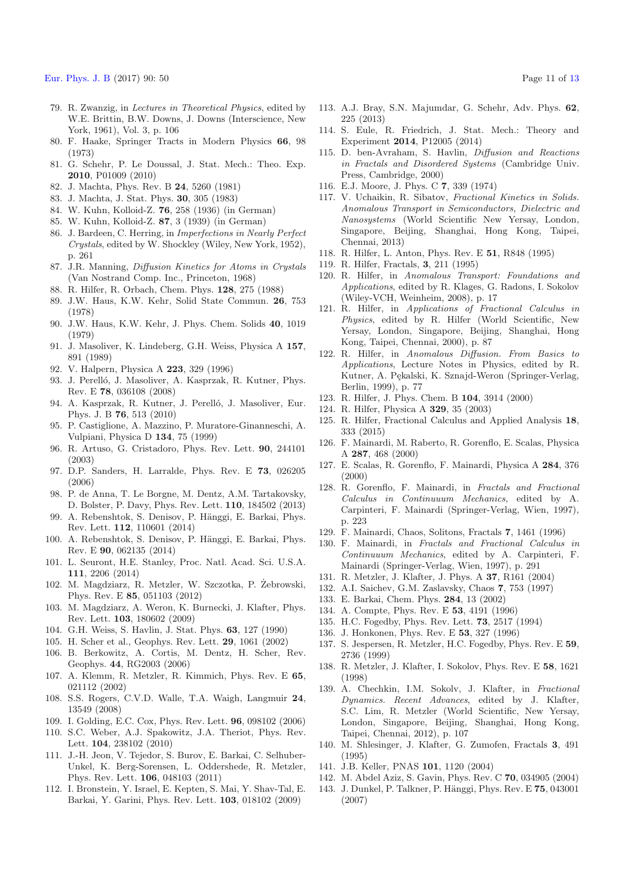<span id="page-10-0"></span>[Eur. Phys. J. B](http://www.epj.org) (2017) 90: 50 Page 11 of [13](#page-12-0)

- 79. R. Zwanzig, in Lectures in Theoretical Physics, edited by W.E. Brittin, B.W. Downs, J. Downs (Interscience, New York, 1961), Vol. 3, p. 106
- <span id="page-10-1"></span>80. F. Haake, Springer Tracts in Modern Physics **66**, 98 (1973)
- <span id="page-10-2"></span>81. G. Schehr, P. Le Doussal, J. Stat. Mech.: Theo. Exp. **2010**, P01009 (2010)
- <span id="page-10-3"></span>82. J. Machta, Phys. Rev. B **24**, 5260 (1981)
- <span id="page-10-4"></span>83. J. Machta, J. Stat. Phys. **30**, 305 (1983)
- <span id="page-10-5"></span>84. W. Kuhn, Kolloid-Z. **76**, 258 (1936) (in German)
- <span id="page-10-6"></span>85. W. Kuhn, Kolloid-Z. **87**, 3 (1939) (in German)
- <span id="page-10-7"></span>86. J. Bardeen, C. Herring, in Imperfections in Nearly Perfect Crystals, edited by W. Shockley (Wiley, New York, 1952), p. 261
- <span id="page-10-8"></span>87. J.R. Manning, Diffusion Kinetics for Atoms in Crystals (Van Nostrand Comp. Inc., Princeton, 1968)
- <span id="page-10-9"></span>88. R. Hilfer, R. Orbach, Chem. Phys. **128**, 275 (1988)
- <span id="page-10-10"></span>89. J.W. Haus, K.W. Kehr, Solid State Commun. **26**, 753 (1978)
- <span id="page-10-11"></span>90. J.W. Haus, K.W. Kehr, J. Phys. Chem. Solids **40**, 1019 (1979)
- <span id="page-10-12"></span>91. J. Masoliver, K. Lindeberg, G.H. Weiss, Physica A **157**, 891 (1989)
- <span id="page-10-13"></span>92. V. Halpern, Physica A **223**, 329 (1996)
- <span id="page-10-14"></span>93. J. Perelló, J. Masoliver, A. Kasprzak, R. Kutner, Phys. Rev. E **78**, 036108 (2008)
- 94. A. Kasprzak, R. Kutner, J. Perelló, J. Masoliver, Eur. Phys. J. B **76**, 513 (2010)
- 95. P. Castiglione, A. Mazzino, P. Muratore-Ginanneschi, A. Vulpiani, Physica D **134**, 75 (1999)
- 96. R. Artuso, G. Cristadoro, Phys. Rev. Lett. **90**, 244101 (2003)
- 97. D.P. Sanders, H. Larralde, Phys. Rev. E **73**, 026205 (2006)
- 98. P. de Anna, T. Le Borgne, M. Dentz, A.M. Tartakovsky, D. Bolster, P. Davy, Phys. Rev. Lett. **110**, 184502 (2013)
- <span id="page-10-49"></span>99. A. Rebenshtok, S. Denisov, P. Hänggi, E. Barkai, Phys. Rev. Lett. **112**, 110601 (2014)
- <span id="page-10-50"></span>100. A. Rebenshtok, S. Denisov, P. Hänggi, E. Barkai, Phys. Rev. E **90**, 062135 (2014)
- <span id="page-10-15"></span>101. L. Seuront, H.E. Stanley, Proc. Natl. Acad. Sci. U.S.A. **111**, 2206 (2014)
- <span id="page-10-16"></span>102. M. Magdziarz, R. Metzler, W. Szczotka, P. Zebrowski, Phys. Rev. E **85**, 051103 (2012)
- <span id="page-10-17"></span>103. M. Magdziarz, A. Weron, K. Burnecki, J. Klafter, Phys. Rev. Lett. **103**, 180602 (2009)
- <span id="page-10-18"></span>104. G.H. Weiss, S. Havlin, J. Stat. Phys. **63**, 127 (1990)
- <span id="page-10-19"></span>105. H. Scher et al., Geophys. Rev. Lett. **29**, 1061 (2002)
- <span id="page-10-20"></span>106. B. Berkowitz, A. Cortis, M. Dentz, H. Scher, Rev. Geophys. **44**, RG2003 (2006)
- <span id="page-10-21"></span>107. A. Klemm, R. Metzler, R. Kimmich, Phys. Rev. E **65**, 021112 (2002)
- <span id="page-10-22"></span>108. S.S. Rogers, C.V.D. Walle, T.A. Waigh, Langmuir **24**, 13549 (2008)
- <span id="page-10-23"></span>109. I. Golding, E.C. Cox, Phys. Rev. Lett. **96**, 098102 (2006)
- 110. S.C. Weber, A.J. Spakowitz, J.A. Theriot, Phys. Rev. Lett. **104**, 238102 (2010)
- 111. J.-H. Jeon, V. Tejedor, S. Burov, E. Barkai, C. Selhuber-Unkel, K. Berg-Sorensen, L. Oddershede, R. Metzler, Phys. Rev. Lett. **106**, 048103 (2011)
- <span id="page-10-24"></span>112. I. Bronstein, Y. Israel, E. Kepten, S. Mai, Y. Shav-Tal, E. Barkai, Y. Garini, Phys. Rev. Lett. **103**, 018102 (2009)
- <span id="page-10-25"></span>113. A.J. Bray, S.N. Majumdar, G. Schehr, Adv. Phys. **62**, 225 (2013)
- <span id="page-10-26"></span>114. S. Eule, R. Friedrich, J. Stat. Mech.: Theory and Experiment **2014**, P12005 (2014)
- <span id="page-10-27"></span>115. D. ben-Avraham, S. Havlin, Diffusion and Reactions in Fractals and Disordered Systems (Cambridge Univ. Press, Cambridge, 2000)
- <span id="page-10-28"></span>116. E.J. Moore, J. Phys. C **7**, 339 (1974)
- <span id="page-10-29"></span>117. V. Uchaikin, R. Sibatov, Fractional Kinetics in Solids. Anomalous Transport in Semiconductors, Dielectric and Nanosystems (World Scientific New Yersay, London, Singapore, Beijing, Shanghai, Hong Kong, Taipei, Chennai, 2013)
- <span id="page-10-31"></span><span id="page-10-30"></span>118. R. Hilfer, L. Anton, Phys. Rev. E **51**, R848 (1995)
- 119. R. Hilfer, Fractals, **3**, 211 (1995)
- <span id="page-10-32"></span>120. R. Hilfer, in Anomalous Transport: Foundations and Applications, edited by R. Klages, G. Radons, I. Sokolov (Wiley-VCH, Weinheim, 2008), p. 17
- <span id="page-10-33"></span>121. R. Hilfer, in Applications of Fractional Calculus in Physics, edited by R. Hilfer (World Scientific, New Yersay, London, Singapore, Beijing, Shanghai, Hong Kong, Taipei, Chennai, 2000), p. 87
- 122. R. Hilfer, in Anomalous Diffusion. From Basics to Applications, Lecture Notes in Physics, edited by R. Kutner, A. Pękalski, K. Sznajd-Weron (Springer-Verlag, Berlin, 1999), p. 77
- 123. R. Hilfer, J. Phys. Chem. B **104**, 3914 (2000)
- <span id="page-10-34"></span>124. R. Hilfer, Physica A **329**, 35 (2003)
- <span id="page-10-35"></span>125. R. Hilfer, Fractional Calculus and Applied Analysis **18**, 333 (2015)
- <span id="page-10-36"></span>126. F. Mainardi, M. Raberto, R. Gorenflo, E. Scalas, Physica <sup>A</sup> **287**, 468 (2000)
- <span id="page-10-37"></span>127. E. Scalas, R. Gorenflo, F. Mainardi, Physica A **284**, 376 (2000)
- <span id="page-10-38"></span>128. R. Gorenflo, F. Mainardi, in Fractals and Fractional Calculus in Continuuum Mechanics, edited by A. Carpinteri, F. Mainardi (Springer-Verlag, Wien, 1997), p. 223
- 129. F. Mainardi, Chaos, Solitons, Fractals **7**, 1461 (1996)
- <span id="page-10-39"></span>130. F. Mainardi, in Fractals and Fractional Calculus in Continuuum Mechanics, edited by A. Carpinteri, F. Mainardi (Springer-Verlag, Wien, 1997), p. 291
- <span id="page-10-41"></span><span id="page-10-40"></span>131. R. Metzler, J. Klafter, J. Phys. A **37**, R161 (2004)
- 132. A.I. Saichev, G.M. Zaslavsky, Chaos **7**, 753 (1997)
- <span id="page-10-42"></span>133. E. Barkai, Chem. Phys. **284**, 13 (2002)
- <span id="page-10-43"></span>134. A. Compte, Phys. Rev. E **53**, 4191 (1996)
- 135. H.C. Fogedby, Phys. Rev. Lett. **73**, 2517 (1994)
- <span id="page-10-44"></span>136. J. Honkonen, Phys. Rev. E **53**, 327 (1996)
- <span id="page-10-45"></span>137. S. Jespersen, R. Metzler, H.C. Fogedby, Phys. Rev. E **59**, 2736 (1999)
- <span id="page-10-46"></span>138. R. Metzler, J. Klafter, I. Sokolov, Phys. Rev. E **58**, 1621 (1998)
- <span id="page-10-47"></span>139. A. Chechkin, I.M. Sokolv, J. Klafter, in Fractional Dynamics. Recent Advances, edited by J. Klafter, S.C. Lim, R. Metzler (World Scientific, New Yersay, London, Singapore, Beijing, Shanghai, Hong Kong, Taipei, Chennai, 2012), p. 107
- <span id="page-10-48"></span>140. M. Shlesinger, J. Klafter, G. Zumofen, Fractals **3**, 491 (1995)
- 141. J.B. Keller, PNAS **101**, 1120 (2004)
- 142. M. Abdel Aziz, S. Gavin, Phys. Rev. C **70**, 034905 (2004)
- 143. J. Dunkel, P. Talkner, P. H¨anggi, Phys. Rev. E **75**, 043001 (2007)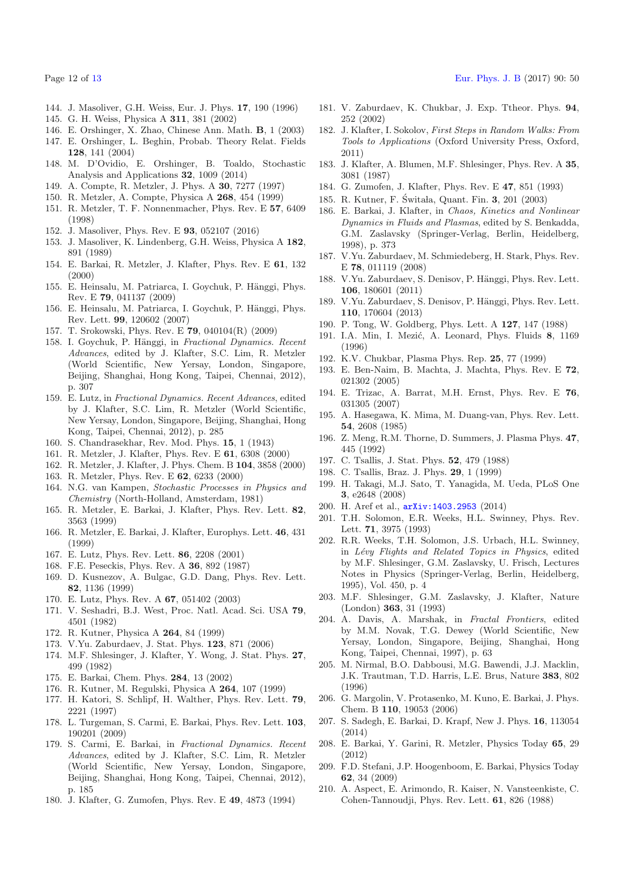- <span id="page-11-0"></span>144. J. Masoliver, G.H. Weiss, Eur. J. Phys. **17**, 190 (1996)
- <span id="page-11-1"></span>145. G. H. Weiss, Physica A **311**, 381 (2002)
- <span id="page-11-2"></span>146. E. Orshinger, X. Zhao, Chinese Ann. Math. **B**, 1 (2003)
- 147. E. Orshinger, L. Beghin, Probab. Theory Relat. Fields **128**, 141 (2004)
- <span id="page-11-3"></span>148. M. D'Ovidio, E. Orshinger, B. Toaldo, Stochastic Analysis and Applications **32**, 1009 (2014)
- <span id="page-11-4"></span>149. A. Compte, R. Metzler, J. Phys. A **30**, 7277 (1997)
- 150. R. Metzler, A. Compte, Physica A **268**, 454 (1999)
- <span id="page-11-5"></span>151. R. Metzler, T. F. Nonnenmacher, Phys. Rev. E **57**, 6409 (1998)
- <span id="page-11-6"></span>152. J. Masoliver, Phys. Rev. E **93**, 052107 (2016)
- <span id="page-11-7"></span>153. J. Masoliver, K. Lindenberg, G.H. Weiss, Physica A **182**, 891 (1989)
- <span id="page-11-8"></span>154. E. Barkai, R. Metzler, J. Klafter, Phys. Rev. E **61**, 132 (2000)
- <span id="page-11-9"></span>155. E. Heinsalu, M. Patriarca, I. Goychuk, P. Hänggi, Phys. Rev. E **79**, 041137 (2009)
- <span id="page-11-10"></span>156. E. Heinsalu, M. Patriarca, I. Goychuk, P. Hänggi, Phys. Rev. Lett. **99**, 120602 (2007)
- <span id="page-11-11"></span>157. T. Srokowski, Phys. Rev. E **79**, 040104(R) (2009)
- <span id="page-11-12"></span>158. I. Goychuk, P. Hänggi, in Fractional Dynamics. Recent Advances, edited by J. Klafter, S.C. Lim, R. Metzler (World Scientific, New Yersay, London, Singapore, Beijing, Shanghai, Hong Kong, Taipei, Chennai, 2012), p. 307
- <span id="page-11-13"></span>159. E. Lutz, in Fractional Dynamics. Recent Advances, edited by J. Klafter, S.C. Lim, R. Metzler (World Scientific, New Yersay, London, Singapore, Beijing, Shanghai, Hong Kong, Taipei, Chennai, 2012), p. 285
- <span id="page-11-14"></span>160. S. Chandrasekhar, Rev. Mod. Phys. **15**, 1 (1943)
- <span id="page-11-15"></span>161. R. Metzler, J. Klafter, Phys. Rev. E **61**, 6308 (2000)
- <span id="page-11-17"></span>162. R. Metzler, J. Klafter, J. Phys. Chem. B **104**, 3858 (2000)
- <span id="page-11-16"></span>163. R. Metzler, Phys. Rev. E **62**, 6233 (2000)
- <span id="page-11-18"></span>164. N.G. van Kampen, Stochastic Processes in Physics and Chemistry (North-Holland, Amsterdam, 1981)
- <span id="page-11-19"></span>165. R. Metzler, E. Barkai, J. Klafter, Phys. Rev. Lett. **82**, 3563 (1999)
- <span id="page-11-20"></span>166. R. Metzler, E. Barkai, J. Klafter, Europhys. Lett. **46**, 431 (1999)
- <span id="page-11-21"></span>167. E. Lutz, Phys. Rev. Lett. **86**, 2208 (2001)
- 168. F.E. Peseckis, Phys. Rev. A **36**, 892 (1987)
- 169. D. Kusnezov, A. Bulgac, G.D. Dang, Phys. Rev. Lett. **82**, 1136 (1999)
- <span id="page-11-22"></span>170. E. Lutz, Phys. Rev. A **67**, 051402 (2003)
- <span id="page-11-23"></span>171. V. Seshadri, B.J. West, Proc. Natl. Acad. Sci. USA **79**, 4501 (1982)
- <span id="page-11-24"></span>172. R. Kutner, Physica A **264**, 84 (1999)
- <span id="page-11-25"></span>173. V.Yu. Zaburdaev, J. Stat. Phys. **123**, 871 (2006)
- <span id="page-11-26"></span>174. M.F. Shlesinger, J. Klafter, Y. Wong, J. Stat. Phys. **27**, 499 (1982)
- <span id="page-11-27"></span>175. E. Barkai, Chem. Phys. **284**, 13 (2002)
- <span id="page-11-28"></span>176. R. Kutner, M. Regulski, Physica A **264**, 107 (1999)
- <span id="page-11-29"></span>177. H. Katori, S. Schlipf, H. Walther, Phys. Rev. Lett. **79**, 2221 (1997)
- <span id="page-11-30"></span>178. L. Turgeman, S. Carmi, E. Barkai, Phys. Rev. Lett. **103**, 190201 (2009)
- <span id="page-11-31"></span>179. S. Carmi, E. Barkai, in Fractional Dynamics. Recent Advances, edited by J. Klafter, S.C. Lim, R. Metzler (World Scientific, New Yersay, London, Singapore, Beijing, Shanghai, Hong Kong, Taipei, Chennai, 2012), p. 185
- <span id="page-11-32"></span>180. J. Klafter, G. Zumofen, Phys. Rev. E **49**, 4873 (1994)
- 181. V. Zaburdaev, K. Chukbar, J. Exp. Ttheor. Phys. **94**, 252 (2002)
- <span id="page-11-33"></span>182. J. Klafter, I. Sokolov, First Steps in Random Walks: From Tools to Applications (Oxford University Press, Oxford, 2011)
- <span id="page-11-34"></span>183. J. Klafter, A. Blumen, M.F. Shlesinger, Phys. Rev. A **35**, 3081 (1987)
- <span id="page-11-35"></span>184. G. Zumofen, J. Klafter, Phys. Rev. E **47**, 851 (1993)
- <span id="page-11-36"></span>185. R. Kutner, F. Świtała, Quant. Fin. **3**, 201 (2003)
- <span id="page-11-37"></span>186. E. Barkai, J. Klafter, in Chaos, Kinetics and Nonlinear Dynamics in Fluids and Plasmas, edited by S. Benkadda, G.M. Zaslavsky (Springer-Verlag, Berlin, Heidelberg, 1998), p. 373
- <span id="page-11-38"></span>187. V.Yu. Zaburdaev, M. Schmiedeberg, H. Stark, Phys. Rev. <sup>E</sup> **78**, 011119 (2008)
- <span id="page-11-39"></span>188. V.Yu. Zaburdaev, S. Denisov, P. Hänggi, Phys. Rev. Lett. **106**, 180601 (2011)
- <span id="page-11-40"></span>189. V.Yu. Zaburdaev, S. Denisov, P. Hänggi, Phys. Rev. Lett. **110**, 170604 (2013)
- <span id="page-11-41"></span>190. P. Tong, W. Goldberg, Phys. Lett. A **127**, 147 (1988)
- 191. I.A. Min, I. Mezić, A. Leonard, Phys. Fluids 8, 1169 (1996)
- <span id="page-11-42"></span>192. K.V. Chukbar, Plasma Phys. Rep. **25**, 77 (1999)
- <span id="page-11-43"></span>193. E. Ben-Naim, B. Machta, J. Machta, Phys. Rev. E **72**, 021302 (2005)
- <span id="page-11-44"></span>194. E. Trizac, A. Barrat, M.H. Ernst, Phys. Rev. E **76**, 031305 (2007)
- <span id="page-11-45"></span>195. A. Hasegawa, K. Mima, M. Duang-van, Phys. Rev. Lett. **54**, 2608 (1985)
- <span id="page-11-46"></span>196. Z. Meng, R.M. Thorne, D. Summers, J. Plasma Phys. **47**, 445 (1992)
- <span id="page-11-47"></span>197. C. Tsallis, J. Stat. Phys. **52**, 479 (1988)
- <span id="page-11-48"></span>198. C. Tsallis, Braz. J. Phys. **29**, 1 (1999)
- <span id="page-11-49"></span>199. H. Takagi, M.J. Sato, T. Yanagida, M. Ueda, PLoS One **3**, e2648 (2008)
- <span id="page-11-50"></span>200. H. Aref et al., [arXiv:1403.2953](http://arxiv.org/abs/1403.2953) (2014)
- <span id="page-11-51"></span>201. T.H. Solomon, E.R. Weeks, H.L. Swinney, Phys. Rev. Lett. **71**, 3975 (1993)
- <span id="page-11-52"></span>202. R.R. Weeks, T.H. Solomon, J.S. Urbach, H.L. Swinney, in Lévy Flights and Related Topics in Physics, edited by M.F. Shlesinger, G.M. Zaslavsky, U. Frisch, Lectures Notes in Physics (Springer-Verlag, Berlin, Heidelberg, 1995), Vol. 450, p. 4
- <span id="page-11-53"></span>203. M.F. Shlesinger, G.M. Zaslavsky, J. Klafter, Nature (London) **363**, 31 (1993)
- <span id="page-11-54"></span>204. A. Davis, A. Marshak, in Fractal Frontiers, edited by M.M. Novak, T.G. Dewey (World Scientific, New Yersay, London, Singapore, Beijing, Shanghai, Hong Kong, Taipei, Chennai, 1997), p. 63
- <span id="page-11-55"></span>205. M. Nirmal, B.O. Dabbousi, M.G. Bawendi, J.J. Macklin, J.K. Trautman, T.D. Harris, L.E. Brus, Nature **383**, 802 (1996)
- <span id="page-11-56"></span>206. G. Margolin, V. Protasenko, M. Kuno, E. Barkai, J. Phys. Chem. B **110**, 19053 (2006)
- <span id="page-11-57"></span>207. S. Sadegh, E. Barkai, D. Krapf, New J. Phys. **16**, 113054 (2014)
- <span id="page-11-58"></span>208. E. Barkai, Y. Garini, R. Metzler, Physics Today **65**, 29 (2012)
- <span id="page-11-59"></span>209. F.D. Stefani, J.P. Hoogenboom, E. Barkai, Physics Today **62**, 34 (2009)
- <span id="page-11-60"></span>210. A. Aspect, E. Arimondo, R. Kaiser, N. Vansteenkiste, C. Cohen-Tannoudji, Phys. Rev. Lett. **61**, 826 (1988)